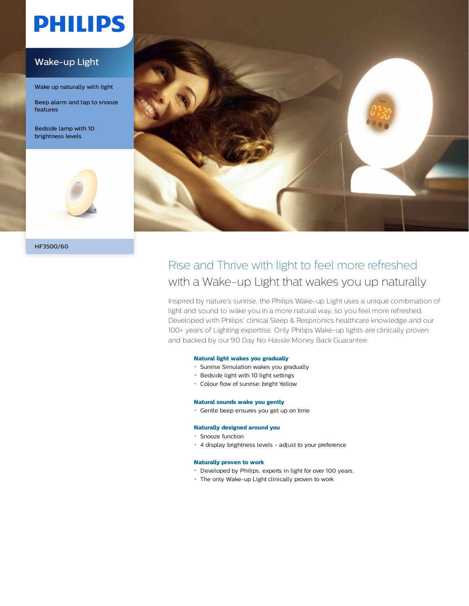# **PHILIPS**

#### Wake-up Light

Wake up naturally with light

Beep alarm and tap to snooze features

Bedside lamp with 10 brightness levels





### Rise and Thrive with light to feel more refreshed with a Wake-up Light that wakes you up naturally

Inspired by nature's sunrise, the Philips Wake-up Light uses a unique combination of light and sound to wake you in a more natural way, so you feel more refreshed. Developed with Philips' clinical Sleep & Respironics healthcare knowledge and our 100+ years of Lighting expertise. Only Philips Wake-up lights are clinically proven and backed by our 90 Day No Hassle Money Back Guarantee.

#### **Natural light wakes you gradually**

- Sunrise Simulation wakes you gradually
- Bedside light with 10 light settings
- Colour flow of sunrise: bright Yellow

#### **Natural sounds wake you gently**

Gentle beep ensures you get up on time

#### **Naturally designed around you**

- Snooze function
- 4 display brightness levels adjust to your preference

#### **Naturally proven to work**

- Developed by Philips, experts in light for over 100 years.
- The only Wake-up Light clinically proven to work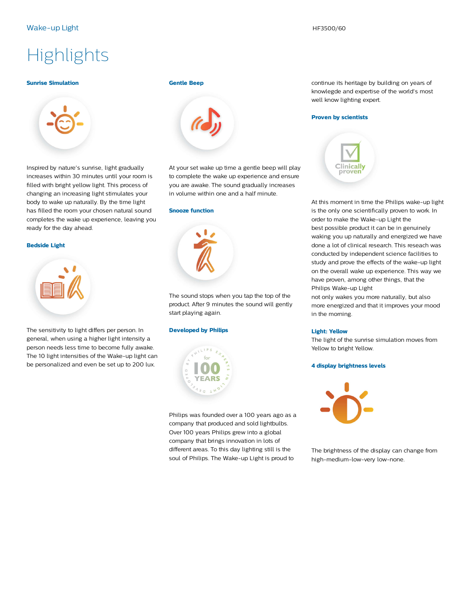## **Highlights**

#### **Sunrise Simulation**



Inspired by nature's sunrise, light gradually increases within 30 minutes until your room is filled with bright yellow light. This process of changing an increasing light stimulates your body to wake up naturally. By the time light has filled the room your chosen natural sound completes the wake up experience, leaving you ready for the day ahead.

#### **Bedside Light**



The sensitivity to light differs per person. In general, when using a higher light intensity a person needs less time to become fully awake. The 10 light intensities of the Wake-up light can be personalized and even be set up to 200 lux.

#### **Gentle Beep**



At your set wake up time a gentle beep will play to complete the wake up experience and ensure you are awake. The sound gradually increases in volume within one and a half minute.

#### **Snooze function**



The sound stops when you tap the top of the product. After 9 minutes the sound will gently start playing again.

#### **Developed by Philips**



Philips was founded over a 100 years ago as a company that produced and sold lightbulbs. Over 100 years Philips grew into a global company that brings innovation in lots of different areas. To this day lighting still is the soul of Philips. The Wake-up Light is proud to

continue its heritage by building on years of knowlegde and expertise of the world's most well know lighting expert.

#### **Proven by scientists**



At this moment in time the Philips wake-up light is the only one scientifically proven to work. In order to make the Wake-up Light the best possible product it can be in genuinely waking you up naturally and energized we have done a lot of clinical research. This reseach was conducted by independent science facilities to study and prove the effects of the wake-up light on the overall wake up experience. This way we have proven, among other things, that the Philips Wake-up Light

not only wakes you more naturally, but also more energized and that it improves your mood in the morning.

#### **Light: Yellow**

The light of the sunrise simulation moves from Yellow to bright Yellow.

#### **4 display brightness levels**



The brightness of the display can change from high-medium-low-very low-none.